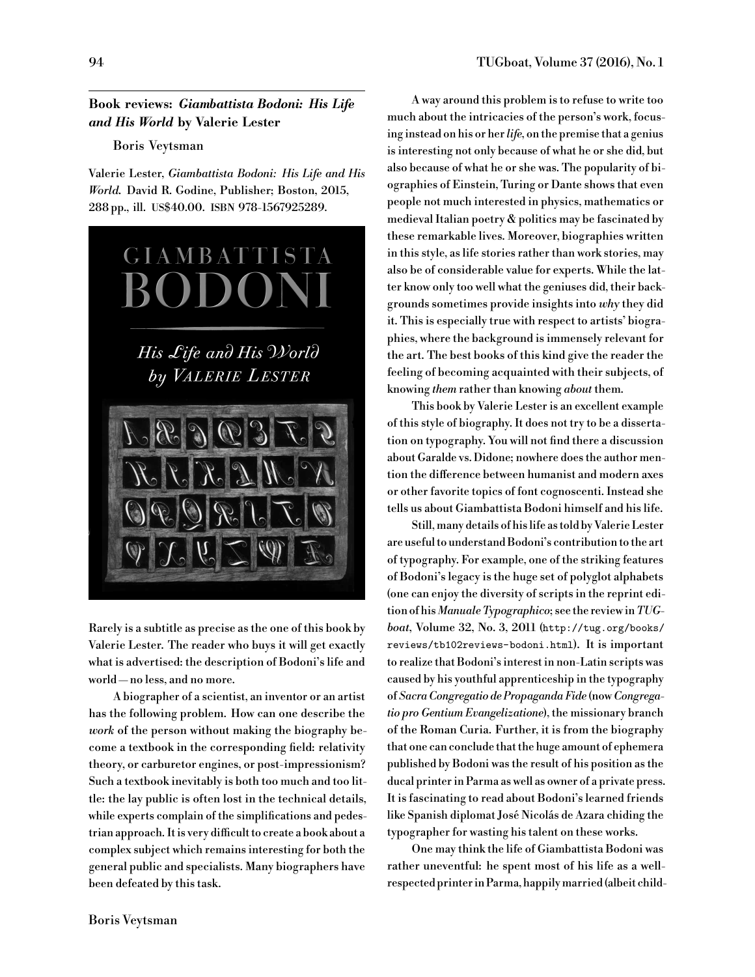## **Book reviews:** *Giambattista Bodoni: His Life and His World* **by Valerie Lester**

## Boris Veytsman

Valerie Lester, *Giambattista Bodoni: His Life and His World*. David R. Godine, Publisher; Boston, 2015, 288 pp., ill. US\$40.00. ISBN 978-1567925289.



Rarely is a subtitle as precise as the one of this book by Valerie Lester. The reader who buys it will get exactly what is advertised: the description of Bodoni's life and world — no less, and no more.

A biographer of a scientist, an inventor or an artist has the following problem. How can one describe the *work* of the person without making the biography become a textbook in the corresponding field: relativity theory, or carburetor engines, or post-impressionism? Such a textbook inevitably is both too much and too little: the lay public is often lost in the technical details, while experts complain of the simplifications and pedestrian approach. It is very difficult to create a book about a complex subject which remains interesting for both the general public and specialists. Many biographers have been defeated by this task.

A way around this problem is to refuse to write too much about the intricacies of the person's work, focusing instead on his or her *life*, on the premise that a genius is interesting not only because of what he or she did, but also because of what he or she was. The popularity of biographies of Einstein, Turing or Dante shows that even people not much interested in physics, mathematics or medieval Italian poetry  $\&$  politics may be fascinated by these remarkable lives. Moreover, biographies written in this style, as life stories rather than work stories, may also be of considerable value for experts. While the latter know only too well what the geniuses did, their backgrounds sometimes provide insights into *why* they did it. This is especially true with respect to artists' biographies, where the background is immensely relevant for the art. The best books of this kind give the reader the feeling of becoming acquainted with their subjects, of knowing *them* rather than knowing *about* them.

This book by Valerie Lester is an excellent example of this style of biography. It does not try to be a dissertation on typography. You will not find there a discussion about Garalde vs. Didone; nowhere does the author mention the difference between humanist and modern axes or other favorite topics of font cognoscenti. Instead she tells us about Giambattista Bodoni himself and his life.

Still, many details of his life as told by Valerie Lester are useful to understand Bodoni's contribution to the art of typography. For example, one of the striking features of Bodoni's legacy is the huge set of polyglot alphabets (one can enjoy the diversity of scripts in the reprint edition of his *Manuale Typographico*; see the review in*TUGboat*, Volume 32, No. 3, 2011 ([http://tug.org/books/](http://tug.org/books/reviews/tb102reviews-bodoni.html) [reviews/tb102reviews-bodoni.html](http://tug.org/books/reviews/tb102reviews-bodoni.html)). It is important to realize that Bodoni's interest in non-Latin scripts was caused by his youthful apprenticeship in the typography of *Sacra Congregatio de Propaganda Fide* (now*Congregatio pro Gentium Evangelizatione*), the missionary branch of the Roman Curia. Further, it is from the biography that one can conclude that the huge amount of ephemera published by Bodoni was the result of his position as the ducal printer in Parma as well as owner of a private press. It is fascinating to read about Bodoni's learned friends like Spanish diplomat José Nicolás de Azara chiding the typographer for wasting his talent on these works.

One may think the life of Giambattista Bodoni was rather uneventful: he spent most of his life as a wellrespected printer in Parma, happilymarried (albeit child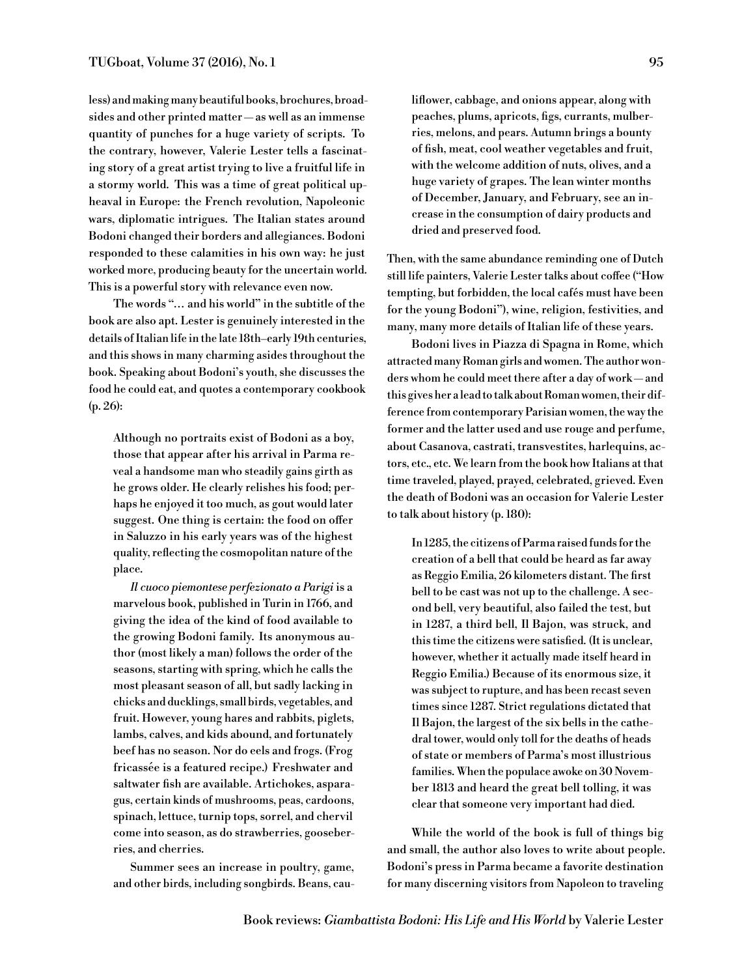less) andmakingmany beautiful books, brochures, broadsides and other printed matter — as well as an immense quantity of punches for a huge variety of scripts. To the contrary, however, Valerie Lester tells a fascinating story of a great artist trying to live a fruitful life in a stormy world. This was a time of great political upheaval in Europe: the French revolution, Napoleonic wars, diplomatic intrigues. The Italian states around Bodoni changed their borders and allegiances. Bodoni responded to these calamities in his own way: he just worked more, producing beauty for the uncertain world. This is a powerful story with relevance even now.

The words "... and his world" in the subtitle of the book are also apt. Lester is genuinely interested in the details of Italian life in the late 18th–early 19th centuries, and this shows in many charming asides throughout the book. Speaking about Bodoni's youth, she discusses the food he could eat, and quotes a contemporary cookbook (p. 26):

Although no portraits exist of Bodoni as a boy, those that appear after his arrival in Parma reveal a handsome man who steadily gains girth as he grows older. He clearly relishes his food; perhaps he enjoyed it too much, as gout would later suggest. One thing is certain: the food on offer in Saluzzo in his early years was of the highest quality, reflecting the cosmopolitan nature of the place.

*Il cuoco piemontese perfezionato a Parigi* is a marvelous book, published in Turin in 1766, and giving the idea of the kind of food available to the growing Bodoni family. Its anonymous author (most likely a man) follows the order of the seasons, starting with spring, which he calls the most pleasant season of all, but sadly lacking in chicks and ducklings, small birds, vegetables, and fruit. However, young hares and rabbits, piglets, lambs, calves, and kids abound, and fortunately beef has no season. Nor do eels and frogs. (Frog fricassée is a featured recipe.) Freshwater and saltwater fish are available. Artichokes, asparagus, certain kinds of mushrooms, peas, cardoons, spinach, lettuce, turnip tops, sorrel, and chervil come into season, as do strawberries, gooseberries, and cherries.

Summer sees an increase in poultry, game, and other birds, including songbirds. Beans, cauliflower, cabbage, and onions appear, along with peaches, plums, apricots, figs, currants, mulberries, melons, and pears. Autumn brings a bounty of fish, meat, cool weather vegetables and fruit, with the welcome addition of nuts, olives, and a huge variety of grapes. The lean winter months of December, January, and February, see an increase in the consumption of dairy products and dried and preserved food.

Then, with the same abundance reminding one of Dutch still life painters, Valerie Lester talks about coffee ("How tempting, but forbidden, the local cafés must have been for the young Bodoni"), wine, religion, festivities, and many, many more details of Italian life of these years.

Bodoni lives in Piazza di Spagna in Rome, which attracted many Roman girls and women. The author wonders whom he could meet there after a day of work — and this gives her alead to talk about Roman women, their difference from contemporary Parisian women, the way the former and the latter used and use rouge and perfume, about Casanova, castrati, transvestites, harlequins, actors, etc., etc. We learn from the book how Italians at that time traveled, played, prayed, celebrated, grieved. Even the death of Bodoni was an occasion for Valerie Lester to talk about history (p. 180):

In 1285, the citizens of Parma raised funds for the creation of a bell that could be heard as far away as Reggio Emilia, 26 kilometers distant. The first bell to be cast was not up to the challenge. A second bell, very beautiful, also failed the test, but in 1287, a third bell, Il Bajon, was struck, and this time the citizens were satisfied. (It is unclear, however, whether it actually made itself heard in Reggio Emilia.) Because of its enormous size, it was subject to rupture, and has been recast seven times since 1287. Strict regulations dictated that Il Bajon, the largest of the six bells in the cathedral tower, would only toll for the deaths of heads of state or members of Parma's most illustrious families. When the populace awoke on 30 November 1813 and heard the great bell tolling, it was clear that someone very important had died.

While the world of the book is full of things big and small, the author also loves to write about people. Bodoni's press in Parma became a favorite destination for many discerning visitors from Napoleon to traveling